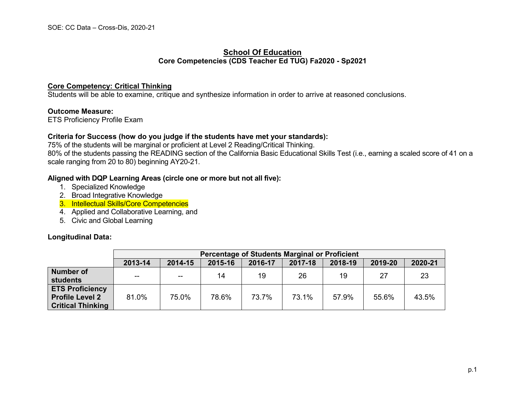#### **School Of Education Core Competencies (CDS Teacher Ed TUG) Fa2020 - Sp2021**

#### **Core Competency: Critical Thinking**

Students will be able to examine, critique and synthesize information in order to arrive at reasoned conclusions.

#### **Outcome Measure:**

ETS Proficiency Profile Exam

#### **Criteria for Success (how do you judge if the students have met your standards):**

75% of the students will be marginal or proficient at Level 2 Reading/Critical Thinking. 80% of the students passing the READING section of the California Basic Educational Skills Test (i.e., earning a scaled score of 41 on a scale ranging from 20 to 80) beginning AY20-21.

#### **Aligned with DQP Learning Areas (circle one or more but not all five):**

- 1. Specialized Knowledge
- 2. Broad Integrative Knowledge
- 3. Intellectual Skills/Core Competencies
- 4. Applied and Collaborative Learning, and
- 5. Civic and Global Learning

#### **Longitudinal Data:**

|                                                                              | Percentage of Students Marginal or Proficient |         |         |         |         |         |         |         |
|------------------------------------------------------------------------------|-----------------------------------------------|---------|---------|---------|---------|---------|---------|---------|
|                                                                              | 2013-14                                       | 2014-15 | 2015-16 | 2016-17 | 2017-18 | 2018-19 | 2019-20 | 2020-21 |
| <b>Number of</b><br><b>students</b>                                          | $\sim$ $\sim$                                 | $\sim$  | 14      | 19      | 26      | 19      | 27      | 23      |
| <b>ETS Proficiency</b><br><b>Profile Level 2</b><br><b>Critical Thinking</b> | 81.0%                                         | 75.0%   | 78.6%   | 73.7%   | 73.1%   | 57.9%   | 55.6%   | 43.5%   |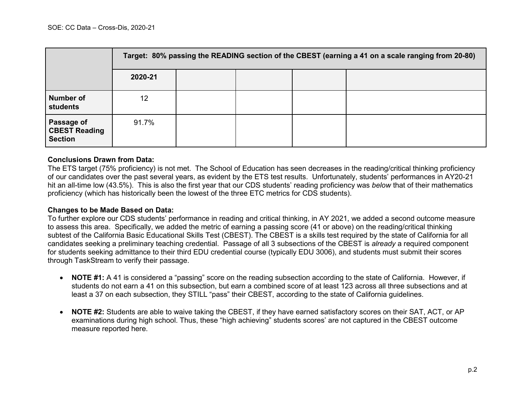|                                                      | Target: 80% passing the READING section of the CBEST (earning a 41 on a scale ranging from 20-80) |  |  |  |  |  |  |
|------------------------------------------------------|---------------------------------------------------------------------------------------------------|--|--|--|--|--|--|
|                                                      | 2020-21                                                                                           |  |  |  |  |  |  |
| <b>Number of</b><br><b>students</b>                  | 12                                                                                                |  |  |  |  |  |  |
| Passage of<br><b>CBEST Reading</b><br><b>Section</b> | 91.7%                                                                                             |  |  |  |  |  |  |

#### **Conclusions Drawn from Data:**

The ETS target (75% proficiency) is not met. The School of Education has seen decreases in the reading/critical thinking proficiency of our candidates over the past several years, as evident by the ETS test results. Unfortunately, students' performances in AY20-21 hit an all-time low (43.5%). This is also the first year that our CDS students' reading proficiency was *below* that of their mathematics proficiency (which has historically been the lowest of the three ETC metrics for CDS students).

#### **Changes to be Made Based on Data:**

To further explore our CDS students' performance in reading and critical thinking, in AY 2021, we added a second outcome measure to assess this area. Specifically, we added the metric of earning a passing score (41 or above) on the reading/critical thinking subtest of the California Basic Educational Skills Test (CBEST). The CBEST is a skills test required by the state of California for all candidates seeking a preliminary teaching credential. Passage of all 3 subsections of the CBEST is *already* a required component for students seeking admittance to their third EDU credential course (typically EDU 3006), and students must submit their scores through TaskStream to verify their passage.

- **NOTE #1:** A 41 is considered a "passing" score on the reading subsection according to the state of California. However, if students do not earn a 41 on this subsection, but earn a combined score of at least 123 across all three subsections and at least a 37 on each subsection, they STILL "pass" their CBEST, according to the state of California guidelines.
- **NOTE #2:** Students are able to waive taking the CBEST, if they have earned satisfactory scores on their SAT, ACT, or AP examinations during high school. Thus, these "high achieving" students scores' are not captured in the CBEST outcome measure reported here.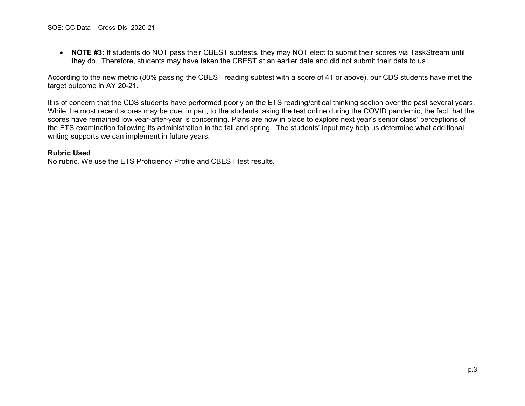• **NOTE #3:** If students do NOT pass their CBEST subtests, they may NOT elect to submit their scores via TaskStream until they do. Therefore, students may have taken the CBEST at an earlier date and did not submit their data to us.

According to the new metric (80% passing the CBEST reading subtest with a score of 41 or above), our CDS students have met the target outcome in AY 20-21.

It is of concern that the CDS students have performed poorly on the ETS reading/critical thinking section over the past several years. While the most recent scores may be due, in part, to the students taking the test online during the COVID pandemic, the fact that the scores have remained low year-after-year is concerning. Plans are now in place to explore next year's senior class' perceptions of the ETS examination following its administration in the fall and spring. The students' input may help us determine what additional writing supports we can implement in future years.

#### **Rubric Used**

No rubric. We use the ETS Proficiency Profile and CBEST test results.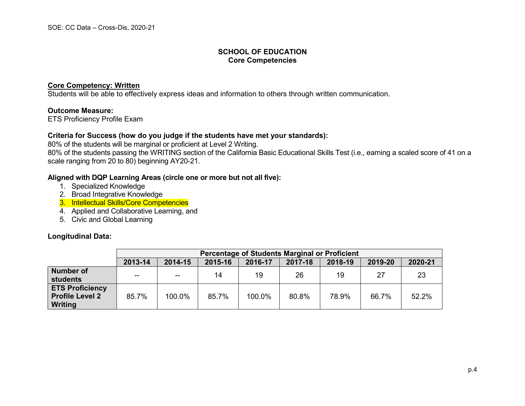#### **Core Competency: Written**

Students will be able to effectively express ideas and information to others through written communication.

#### **Outcome Measure:**

ETS Proficiency Profile Exam

#### **Criteria for Success (how do you judge if the students have met your standards):**

80% of the students will be marginal or proficient at Level 2 Writing. 80% of the students passing the WRITING section of the California Basic Educational Skills Test (i.e., earning a scaled score of 41 on a scale ranging from 20 to 80) beginning AY20-21.

#### **Aligned with DQP Learning Areas (circle one or more but not all five):**

- 1. Specialized Knowledge
- 2. Broad Integrative Knowledge
- 3. Intellectual Skills/Core Competencies
- 4. Applied and Collaborative Learning, and
- 5. Civic and Global Learning

#### **Longitudinal Data:**

|                                                                    | Percentage of Students Marginal or Proficient |               |         |         |         |         |         |         |
|--------------------------------------------------------------------|-----------------------------------------------|---------------|---------|---------|---------|---------|---------|---------|
|                                                                    | 2013-14                                       | 2014-15       | 2015-16 | 2016-17 | 2017-18 | 2018-19 | 2019-20 | 2020-21 |
| <b>Number of</b><br><b>students</b>                                | $\sim$ $\sim$                                 | $\sim$ $\sim$ | 14      | 19      | 26      | 19      | 27      | 23      |
| <b>ETS Proficiency</b><br><b>Profile Level 2</b><br><b>Writing</b> | 85.7%                                         | 100.0%        | 85.7%   | 100.0%  | 80.8%   | 78.9%   | 66.7%   | 52.2%   |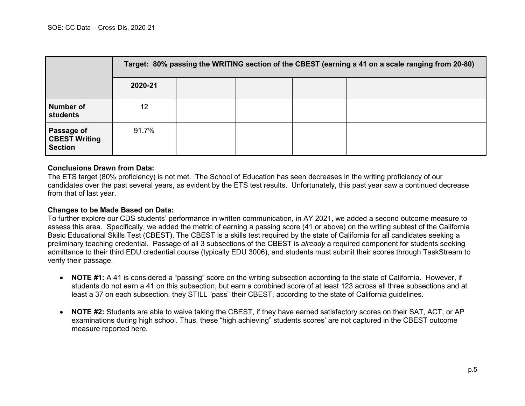|                                                      | Target: 80% passing the WRITING section of the CBEST (earning a 41 on a scale ranging from 20-80) |  |  |  |  |  |  |
|------------------------------------------------------|---------------------------------------------------------------------------------------------------|--|--|--|--|--|--|
|                                                      | 2020-21                                                                                           |  |  |  |  |  |  |
| <b>Number of</b><br><b>students</b>                  | 12                                                                                                |  |  |  |  |  |  |
| Passage of<br><b>CBEST Writing</b><br><b>Section</b> | 91.7%                                                                                             |  |  |  |  |  |  |

#### **Conclusions Drawn from Data:**

The ETS target (80% proficiency) is not met. The School of Education has seen decreases in the writing proficiency of our candidates over the past several years, as evident by the ETS test results. Unfortunately, this past year saw a continued decrease from that of last year.

#### **Changes to be Made Based on Data:**

To further explore our CDS students' performance in written communication, in AY 2021, we added a second outcome measure to assess this area. Specifically, we added the metric of earning a passing score (41 or above) on the writing subtest of the California Basic Educational Skills Test (CBEST). The CBEST is a skills test required by the state of California for all candidates seeking a preliminary teaching credential. Passage of all 3 subsections of the CBEST is *already* a required component for students seeking admittance to their third EDU credential course (typically EDU 3006), and students must submit their scores through TaskStream to verify their passage.

- **NOTE #1:** A 41 is considered a "passing" score on the writing subsection according to the state of California. However, if students do not earn a 41 on this subsection, but earn a combined score of at least 123 across all three subsections and at least a 37 on each subsection, they STILL "pass" their CBEST, according to the state of California guidelines.
- **NOTE #2:** Students are able to waive taking the CBEST, if they have earned satisfactory scores on their SAT, ACT, or AP examinations during high school. Thus, these "high achieving" students scores' are not captured in the CBEST outcome measure reported here.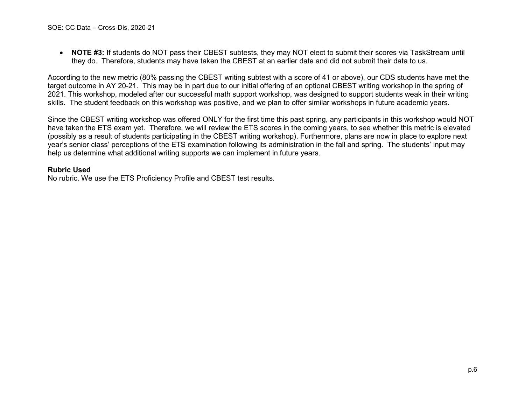• **NOTE #3:** If students do NOT pass their CBEST subtests, they may NOT elect to submit their scores via TaskStream until they do. Therefore, students may have taken the CBEST at an earlier date and did not submit their data to us.

According to the new metric (80% passing the CBEST writing subtest with a score of 41 or above), our CDS students have met the target outcome in AY 20-21. This may be in part due to our initial offering of an optional CBEST writing workshop in the spring of 2021. This workshop, modeled after our successful math support workshop, was designed to support students weak in their writing skills. The student feedback on this workshop was positive, and we plan to offer similar workshops in future academic years.

Since the CBEST writing workshop was offered ONLY for the first time this past spring, any participants in this workshop would NOT have taken the ETS exam yet. Therefore, we will review the ETS scores in the coming years, to see whether this metric is elevated (possibly as a result of students participating in the CBEST writing workshop). Furthermore, plans are now in place to explore next year's senior class' perceptions of the ETS examination following its administration in the fall and spring. The students' input may help us determine what additional writing supports we can implement in future years.

#### **Rubric Used**

No rubric. We use the ETS Proficiency Profile and CBEST test results.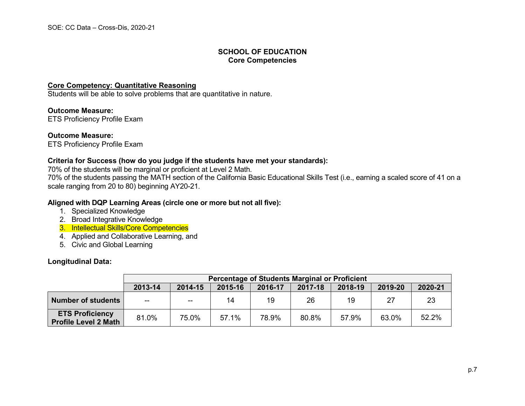#### **Core Competency: Quantitative Reasoning**

Students will be able to solve problems that are quantitative in nature.

**Outcome Measure:** ETS Proficiency Profile Exam

**Outcome Measure:** ETS Proficiency Profile Exam

#### **Criteria for Success (how do you judge if the students have met your standards):**

70% of the students will be marginal or proficient at Level 2 Math.

70% of the students passing the MATH section of the California Basic Educational Skills Test (i.e., earning a scaled score of 41 on a scale ranging from 20 to 80) beginning AY20-21.

#### **Aligned with DQP Learning Areas (circle one or more but not all five):**

- 1. Specialized Knowledge
- 2. Broad Integrative Knowledge
- 3. Intellectual Skills/Core Competencies
- 4. Applied and Collaborative Learning, and
- 5. Civic and Global Learning

#### **Longitudinal Data:**

|                                                       | <b>Percentage of Students Marginal or Proficient</b> |                                                                |       |       |       |       |       |         |
|-------------------------------------------------------|------------------------------------------------------|----------------------------------------------------------------|-------|-------|-------|-------|-------|---------|
|                                                       | 2013-14                                              | 2019-20<br>2014-15<br>2015-16<br>2017-18<br>2018-19<br>2016-17 |       |       |       |       |       | 2020-21 |
| <b>Number of students</b>                             | $\overline{\phantom{a}}$                             | $\overline{\phantom{a}}$                                       | 14    | 19    | 26    | 19    | 27    | 23      |
| <b>ETS Proficiency</b><br><b>Profile Level 2 Math</b> | 81.0%                                                | 75.0%                                                          | 57.1% | 78.9% | 80.8% | 57.9% | 63.0% | 52.2%   |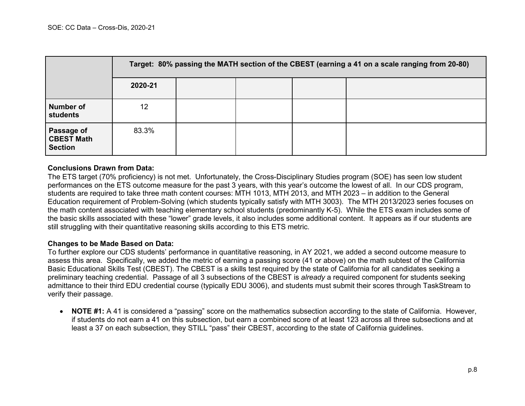|                                                   | Target: 80% passing the MATH section of the CBEST (earning a 41 on a scale ranging from 20-80) |  |  |  |  |  |  |
|---------------------------------------------------|------------------------------------------------------------------------------------------------|--|--|--|--|--|--|
|                                                   | 2020-21                                                                                        |  |  |  |  |  |  |
| Number of<br><b>students</b>                      | 12                                                                                             |  |  |  |  |  |  |
| Passage of<br><b>CBEST Math</b><br><b>Section</b> | 83.3%                                                                                          |  |  |  |  |  |  |

#### **Conclusions Drawn from Data:**

The ETS target (70% proficiency) is not met. Unfortunately, the Cross-Disciplinary Studies program (SOE) has seen low student performances on the ETS outcome measure for the past 3 years, with this year's outcome the lowest of all. In our CDS program, students are required to take three math content courses: MTH 1013, MTH 2013, and MTH 2023 – in addition to the General Education requirement of Problem-Solving (which students typically satisfy with MTH 3003). The MTH 2013/2023 series focuses on the math content associated with teaching elementary school students (predominantly K-5). While the ETS exam includes some of the basic skills associated with these "lower" grade levels, it also includes some additional content. It appears as if our students are still struggling with their quantitative reasoning skills according to this ETS metric.

#### **Changes to be Made Based on Data:**

To further explore our CDS students' performance in quantitative reasoning, in AY 2021, we added a second outcome measure to assess this area. Specifically, we added the metric of earning a passing score (41 or above) on the math subtest of the California Basic Educational Skills Test (CBEST). The CBEST is a skills test required by the state of California for all candidates seeking a preliminary teaching credential. Passage of all 3 subsections of the CBEST is *already* a required component for students seeking admittance to their third EDU credential course (typically EDU 3006), and students must submit their scores through TaskStream to verify their passage.

• **NOTE #1:** A 41 is considered a "passing" score on the mathematics subsection according to the state of California. However, if students do not earn a 41 on this subsection, but earn a combined score of at least 123 across all three subsections and at least a 37 on each subsection, they STILL "pass" their CBEST, according to the state of California guidelines.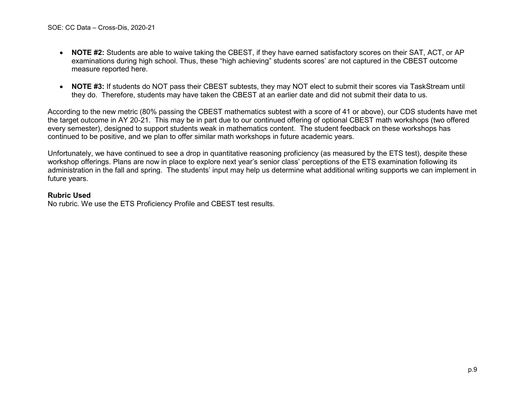- **NOTE #2:** Students are able to waive taking the CBEST, if they have earned satisfactory scores on their SAT, ACT, or AP examinations during high school. Thus, these "high achieving" students scores' are not captured in the CBEST outcome measure reported here.
- **NOTE #3:** If students do NOT pass their CBEST subtests, they may NOT elect to submit their scores via TaskStream until they do. Therefore, students may have taken the CBEST at an earlier date and did not submit their data to us.

According to the new metric (80% passing the CBEST mathematics subtest with a score of 41 or above), our CDS students have met the target outcome in AY 20-21. This may be in part due to our continued offering of optional CBEST math workshops (two offered every semester), designed to support students weak in mathematics content. The student feedback on these workshops has continued to be positive, and we plan to offer similar math workshops in future academic years.

Unfortunately, we have continued to see a drop in quantitative reasoning proficiency (as measured by the ETS test), despite these workshop offerings. Plans are now in place to explore next year's senior class' perceptions of the ETS examination following its administration in the fall and spring. The students' input may help us determine what additional writing supports we can implement in future years.

#### **Rubric Used**

No rubric. We use the ETS Proficiency Profile and CBEST test results.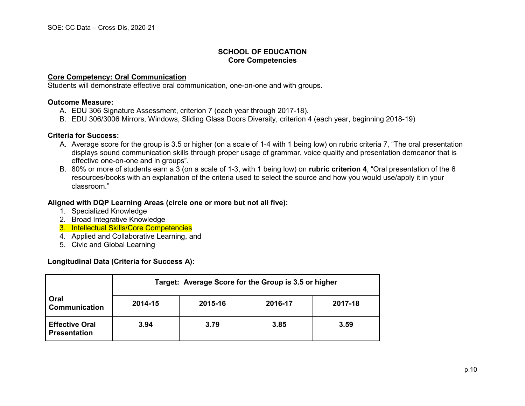#### **Core Competency: Oral Communication**

Students will demonstrate effective oral communication, one-on-one and with groups.

#### **Outcome Measure:**

- A. EDU 306 Signature Assessment, criterion 7 (each year through 2017-18).
- B. EDU 306/3006 Mirrors, Windows, Sliding Glass Doors Diversity, criterion 4 (each year, beginning 2018-19)

#### **Criteria for Success:**

- A. Average score for the group is 3.5 or higher (on a scale of 1-4 with 1 being low) on rubric criteria 7, "The oral presentation displays sound communication skills through proper usage of grammar, voice quality and presentation demeanor that is effective one-on-one and in groups".
- B. 80% or more of students earn a 3 (on a scale of 1-3, with 1 being low) on **rubric criterion 4**, "Oral presentation of the 6 resources/books with an explanation of the criteria used to select the source and how you would use/apply it in your classroom."

#### **Aligned with DQP Learning Areas (circle one or more but not all five):**

- 1. Specialized Knowledge
- 2. Broad Integrative Knowledge
- 3. Intellectual Skills/Core Competencies
- 4. Applied and Collaborative Learning, and
- 5. Civic and Global Learning

#### **Longitudinal Data (Criteria for Success A):**

|                                              | Target: Average Score for the Group is 3.5 or higher |         |         |         |  |  |  |
|----------------------------------------------|------------------------------------------------------|---------|---------|---------|--|--|--|
| Oral<br><b>Communication</b>                 | 2014-15                                              | 2015-16 | 2016-17 | 2017-18 |  |  |  |
| <b>Effective Oral</b><br><b>Presentation</b> | 3.94                                                 | 3.79    | 3.85    | 3.59    |  |  |  |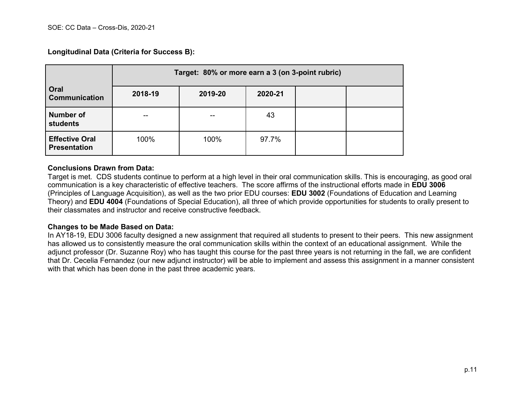**Longitudinal Data (Criteria for Success B):**

|                                              | Target: 80% or more earn a 3 (on 3-point rubric) |               |         |  |  |  |  |  |
|----------------------------------------------|--------------------------------------------------|---------------|---------|--|--|--|--|--|
| Oral<br><b>Communication</b>                 | 2018-19                                          | 2019-20       | 2020-21 |  |  |  |  |  |
| <b>Number of</b><br><b>students</b>          | --                                               |               | 43      |  |  |  |  |  |
| <b>Effective Oral</b><br><b>Presentation</b> | 100%                                             | 100%<br>97.7% |         |  |  |  |  |  |

#### **Conclusions Drawn from Data:**

Target is met. CDS students continue to perform at a high level in their oral communication skills. This is encouraging, as good oral communication is a key characteristic of effective teachers. The score affirms of the instructional efforts made in **EDU 3006** (Principles of Language Acquisition), as well as the two prior EDU courses: **EDU 3002** (Foundations of Education and Learning Theory) and **EDU 4004** (Foundations of Special Education), all three of which provide opportunities for students to orally present to their classmates and instructor and receive constructive feedback.

#### **Changes to be Made Based on Data:**

In AY18-19, EDU 3006 faculty designed a new assignment that required all students to present to their peers. This new assignment has allowed us to consistently measure the oral communication skills within the context of an educational assignment. While the adjunct professor (Dr. Suzanne Roy) who has taught this course for the past three years is not returning in the fall, we are confident that Dr. Cecelia Fernandez (our new adjunct instructor) will be able to implement and assess this assignment in a manner consistent with that which has been done in the past three academic years.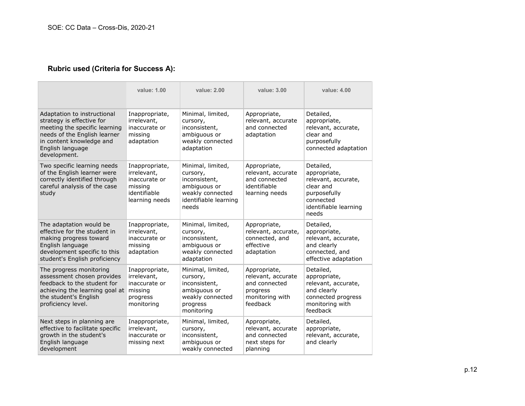## **Rubric used (Criteria for Success A):**

|                                                                                                                                                                                           | value: 1.00                                                                                 | value: 2.00                                                                                                          | value: 3.00                                                                                    | value: 4.00                                                                                                                  |
|-------------------------------------------------------------------------------------------------------------------------------------------------------------------------------------------|---------------------------------------------------------------------------------------------|----------------------------------------------------------------------------------------------------------------------|------------------------------------------------------------------------------------------------|------------------------------------------------------------------------------------------------------------------------------|
| Adaptation to instructional<br>strategy is effective for<br>meeting the specific learning<br>needs of the English learner<br>in content knowledge and<br>English language<br>development. | Inappropriate,<br>irrelevant,<br>inaccurate or<br>missing<br>adaptation                     | Minimal, limited,<br>cursory,<br>inconsistent,<br>ambiguous or<br>weakly connected<br>adaptation                     | Appropriate,<br>relevant, accurate<br>and connected<br>adaptation                              | Detailed,<br>appropriate,<br>relevant, accurate,<br>clear and<br>purposefully<br>connected adaptation                        |
| Two specific learning needs<br>of the English learner were<br>correctly identified through<br>careful analysis of the case<br>study                                                       | Inappropriate,<br>irrelevant,<br>inaccurate or<br>missing<br>identifiable<br>learning needs | Minimal, limited,<br>cursory,<br>inconsistent,<br>ambiguous or<br>weakly connected<br>identifiable learning<br>needs | Appropriate,<br>relevant, accurate<br>and connected<br>identifiable<br>learning needs          | Detailed,<br>appropriate,<br>relevant, accurate,<br>clear and<br>purposefully<br>connected<br>identifiable learning<br>needs |
| The adaptation would be<br>effective for the student in<br>making progress toward<br>English language<br>development specific to this<br>student's English proficiency                    | Inappropriate,<br>irrelevant,<br>inaccurate or<br>missing<br>adaptation                     | Minimal, limited,<br>cursory,<br>inconsistent,<br>ambiguous or<br>weakly connected<br>adaptation                     | Appropriate,<br>relevant, accurate,<br>connected, and<br>effective<br>adaptation               | Detailed,<br>appropriate,<br>relevant, accurate,<br>and clearly<br>connected, and<br>effective adaptation                    |
| The progress monitoring<br>assessment chosen provides<br>feedback to the student for<br>achieving the learning goal at<br>the student's English<br>proficiency level.                     | Inappropriate,<br>irrelevant,<br>inaccurate or<br>missing<br>progress<br>monitoring         | Minimal, limited,<br>cursory,<br>inconsistent,<br>ambiguous or<br>weakly connected<br>progress<br>monitoring         | Appropriate,<br>relevant, accurate<br>and connected<br>progress<br>monitoring with<br>feedback | Detailed,<br>appropriate,<br>relevant, accurate,<br>and clearly<br>connected progress<br>monitoring with<br>feedback         |
| Next steps in planning are<br>effective to facilitate specific<br>growth in the student's<br>English language<br>development                                                              | Inappropriate,<br>irrelevant,<br>inaccurate or<br>missing next                              | Minimal, limited,<br>cursory,<br>inconsistent,<br>ambiguous or<br>weakly connected                                   | Appropriate,<br>relevant, accurate<br>and connected<br>next steps for<br>planning              | Detailed,<br>appropriate,<br>relevant, accurate,<br>and clearly                                                              |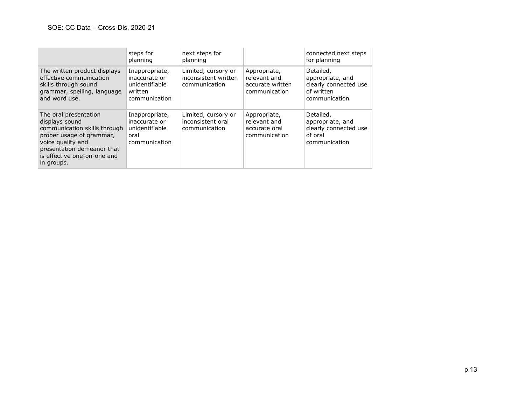|                                                                                                                                                                                                     | steps for<br>planning                                                         | next steps for<br>planning                                   |                                                                   | connected next steps<br>for planning                                                  |
|-----------------------------------------------------------------------------------------------------------------------------------------------------------------------------------------------------|-------------------------------------------------------------------------------|--------------------------------------------------------------|-------------------------------------------------------------------|---------------------------------------------------------------------------------------|
| The written product displays<br>effective communication<br>skills through sound<br>grammar, spelling, language<br>and word use.                                                                     | Inappropriate,<br>inaccurate or<br>unidentifiable<br>written<br>communication | Limited, cursory or<br>inconsistent written<br>communication | Appropriate,<br>relevant and<br>accurate written<br>communication | Detailed,<br>appropriate, and<br>clearly connected use<br>of written<br>communication |
| The oral presentation<br>displays sound<br>communication skills through<br>proper usage of grammar,<br>voice quality and<br>presentation demeanor that<br>is effective one-on-one and<br>in groups. | Inappropriate,<br>inaccurate or<br>unidentifiable<br>oral<br>communication    | Limited, cursory or<br>inconsistent oral<br>communication    | Appropriate,<br>relevant and<br>accurate oral<br>communication    | Detailed,<br>appropriate, and<br>clearly connected use<br>of oral<br>communication    |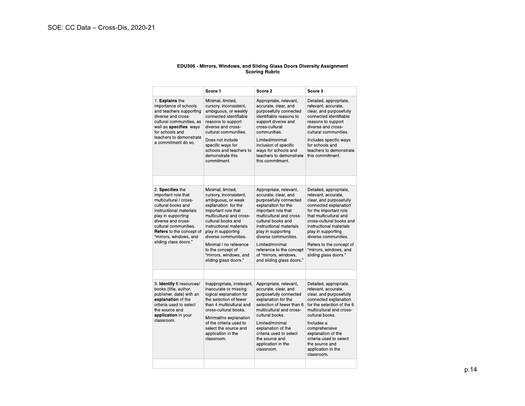# EDU306 - Mirrors, Windows, and Sliding Glass Doors Diversity Assignment<br>Scoring Rubric

|                                                                                                                                                                                                                                                                                                                                                                                                                                                                                                 | Score 1                                                                                                                                                                                                                                                                                                                                      | Score 2                                                                                                                                                                                                                                                                                                                                                | Score 3                                                                                                                                                                                                                                                                                                                                   |
|-------------------------------------------------------------------------------------------------------------------------------------------------------------------------------------------------------------------------------------------------------------------------------------------------------------------------------------------------------------------------------------------------------------------------------------------------------------------------------------------------|----------------------------------------------------------------------------------------------------------------------------------------------------------------------------------------------------------------------------------------------------------------------------------------------------------------------------------------------|--------------------------------------------------------------------------------------------------------------------------------------------------------------------------------------------------------------------------------------------------------------------------------------------------------------------------------------------------------|-------------------------------------------------------------------------------------------------------------------------------------------------------------------------------------------------------------------------------------------------------------------------------------------------------------------------------------------|
| 1 Explains the<br>Minimal, limited,<br>importance of schools<br>cursory, inconsistent,<br>ambiguous, or weakly<br>and teachers supporting<br>diverse and cross-<br>connected identifiable<br>cultural communities, as<br>reasons to support<br>well as specifies ways<br>diverse and cross-<br>for schools and<br>cultural communities.<br>teachers to demonstrate<br>Does not include<br>a commitment do so.<br>specific ways for<br>schools and teachers to<br>demonstrate this<br>commitment |                                                                                                                                                                                                                                                                                                                                              | Appropriate, relevant,<br>accurate, clear, and<br>purposefully connected<br>identifiable reasons to<br>support diverse and<br>cross-cultural<br>communities.<br>Limited/minimal<br>inclusion of specific<br>ways for schools and<br>teachers to demonstrate<br>this commitment.                                                                        | Detailed, appropriate,<br>relevant, accurate,<br>clear, and purposefully<br>connected identifiable<br>reasons to support<br>diverse and cross-<br>cultural communities<br>Includes specific ways<br>for schools and<br>teachers to demonstrate<br>this commitment.                                                                        |
| 2 Specifies the<br>important role that<br>multicultural / cross-<br>cultural books and<br>instructional materials<br>play in supporting<br>diverse and cross-<br>cultural communities<br>Refers to the concept of<br>"mirrors, windows, and<br>sliding class doors"                                                                                                                                                                                                                             | Minimal, limited,<br>cursory, inconsistent,<br>ambiguous, or weak<br>explanation for the<br>important role that<br>multicultural and cross-<br>cultural books and<br>instructional materials<br>play in supporting<br>diverse communities.<br>Minimal / no reference<br>to the concept of<br>"mirrors, windows, and<br>sliding glass doors " | Appropriate, relevant,<br>accurate, clear, and<br>purposefully connected<br>explanation for the<br>important role that<br>multicultural and cross-<br>cultural books and<br>instructional materials<br>play in supporting<br>diverse communities.<br>Limited/minimal<br>reference to the concept<br>of "mirrors, windows,<br>and sliding glass doors." | Detailed, appropriate,<br>relevant, accurate,<br>clear, and purposefully<br>connected explanation<br>for the important role<br>that multicultural and<br>cross-cultural books and<br>instructional materials<br>play in supporting<br>diverse communities.<br>Refers to the concept of<br>"mirrors, windows, and<br>sliding glass doors." |
| 3. Identify 6 resources/<br>books (title, author,<br>publisher, date) with an<br>explanation of the<br>criteria used to select<br>the source and<br>application in your<br>classroom.                                                                                                                                                                                                                                                                                                           | Inappropriate, irrelevant,<br>inaccurate or missing<br>logical explanation for<br>the selection of fewer<br>than 4 multicultural and<br>cross-cultural books.<br>Minimal/no explanation<br>of the criteria used to<br>select the source and<br>application in the<br>classroom.                                                              | Appropriate, relevant,<br>accurate, clear, and<br>purposefully connected<br>explanation for the<br>selection of fewer than 6<br>multicultural and cross-<br>cultural books<br>Limited/minimal<br>explanation of the<br>criteria used to select<br>the source and<br>application in the<br>classroom.                                                   | Detailed, appropriate,<br>relevant, accurate,<br>clear, and purposefully<br>connected explanation<br>for the selection of the 6<br>multicultural and cross-<br>cultural books.<br>Includes a<br>comprehensive<br>explanation of the<br>criteria used to select<br>the source and<br>application in the<br>classroom.                      |
|                                                                                                                                                                                                                                                                                                                                                                                                                                                                                                 |                                                                                                                                                                                                                                                                                                                                              |                                                                                                                                                                                                                                                                                                                                                        |                                                                                                                                                                                                                                                                                                                                           |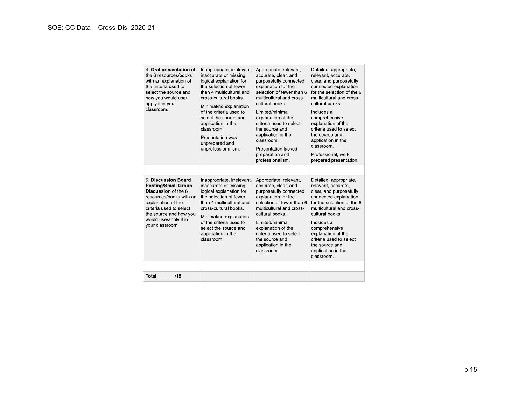| 4 Oral presentation of<br>the 6 resources/books<br>with an explanation of<br>the criteria used to<br>select the source and<br>how you would use/<br>apply it in your<br>classroom.                                       | Inappropriate, irrelevant,<br>inaccurate or missing<br>logical explanation for<br>the selection of fewer<br>than 4 multicultural and<br>cross-cultural books<br>Minimal/no explanation<br>of the criteria used to<br>select the source and<br>application in the<br>classroom.<br>Presentation was<br>unprepared and<br>unprofessionalism. | Appropriate, relevant,<br>accurate, clear, and<br>purposefully connected<br>explanation for the<br>selection of fewer than 6<br>multicultural and cross-<br>cultural books.<br>Limited/minimal<br>explanation of the<br>criteria used to select<br>the source and<br>application in the<br>classroom.<br><b>Presentation lacked</b><br>preparation and | Detailed, appropriate,<br>relevant, accurate,<br>clear, and purposefully<br>connected explanation<br>for the selection of the 6<br>multicultural and cross-<br>cultural books.<br>Includes a<br>comprehensive<br>explanation of the<br>criteria used to select<br>the source and<br>application in the<br>classroom.<br>Professional, well- |
|--------------------------------------------------------------------------------------------------------------------------------------------------------------------------------------------------------------------------|--------------------------------------------------------------------------------------------------------------------------------------------------------------------------------------------------------------------------------------------------------------------------------------------------------------------------------------------|--------------------------------------------------------------------------------------------------------------------------------------------------------------------------------------------------------------------------------------------------------------------------------------------------------------------------------------------------------|---------------------------------------------------------------------------------------------------------------------------------------------------------------------------------------------------------------------------------------------------------------------------------------------------------------------------------------------|
|                                                                                                                                                                                                                          |                                                                                                                                                                                                                                                                                                                                            | professionalism.                                                                                                                                                                                                                                                                                                                                       | prepared presentation.                                                                                                                                                                                                                                                                                                                      |
|                                                                                                                                                                                                                          |                                                                                                                                                                                                                                                                                                                                            |                                                                                                                                                                                                                                                                                                                                                        |                                                                                                                                                                                                                                                                                                                                             |
| 5 Discussion Board<br><b>Posting/Small Group</b><br>Discussion of the 6<br>resources/books with an<br>explanation of the<br>criteria used to select<br>the source and how you<br>would use/apply it in<br>your classroom | Inappropriate, irrelevant,<br>inaccurate or missing<br>logical explanation for<br>the selection of fewer<br>than 4 multicultural and<br>cross-cultural books.<br>Minimal/no explanation<br>of the criteria used to<br>select the source and<br>application in the<br>classroom.                                                            | Appropriate, relevant,<br>accurate, clear, and<br>purposefully connected<br>explanation for the<br>selection of fewer than 6<br>multicultural and cross-<br>cultural books.<br>Limited/minimal<br>explanation of the<br>criteria used to select<br>the source and<br>application in the<br>classroom.                                                  | Detailed, appropriate,<br>relevant, accurate,<br>clear, and purposefully<br>connected explanation<br>for the selection of the 6<br>multicultural and cross-<br>cultural books.<br>Includes a<br>comprehensive<br>explanation of the<br>criteria used to select<br>the source and<br>application in the<br>classroom.                        |
|                                                                                                                                                                                                                          |                                                                                                                                                                                                                                                                                                                                            |                                                                                                                                                                                                                                                                                                                                                        |                                                                                                                                                                                                                                                                                                                                             |
| <b>Total</b><br>/15                                                                                                                                                                                                      |                                                                                                                                                                                                                                                                                                                                            |                                                                                                                                                                                                                                                                                                                                                        |                                                                                                                                                                                                                                                                                                                                             |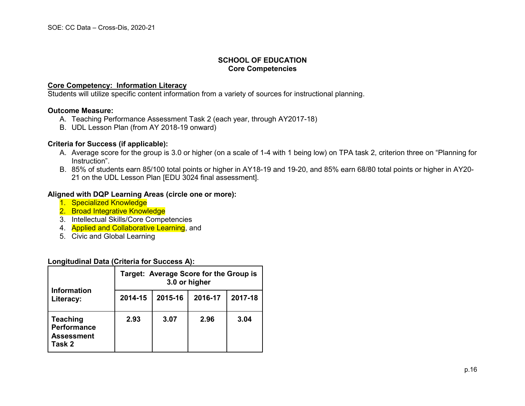#### **Core Competency: Information Literacy**

Students will utilize specific content information from a variety of sources for instructional planning.

#### **Outcome Measure:**

- A. Teaching Performance Assessment Task 2 (each year, through AY2017-18)
- B. UDL Lesson Plan (from AY 2018-19 onward)

#### **Criteria for Success (if applicable):**

- A. Average score for the group is 3.0 or higher (on a scale of 1-4 with 1 being low) on TPA task 2, criterion three on "Planning for Instruction".
- B. 85% of students earn 85/100 total points or higher in AY18-19 and 19-20, and 85% earn 68/80 total points or higher in AY20- 21 on the UDL Lesson Plan [EDU 3024 final assessment].

#### **Aligned with DQP Learning Areas (circle one or more):**

- 1. Specialized Knowledge
- 2. Broad Integrative Knowledge
- 3. Intellectual Skills/Core Competencies
- 4. Applied and Collaborative Learning, and
- 5. Civic and Global Learning

#### **Longitudinal Data (Criteria for Success A):**

| <b>Information</b><br>Literacy:                               | Target: Average Score for the Group is<br>3.0 or higher |         |         |         |  |
|---------------------------------------------------------------|---------------------------------------------------------|---------|---------|---------|--|
|                                                               | 2014-15                                                 | 2015-16 | 2016-17 | 2017-18 |  |
| <b>Teaching</b><br>Performance<br><b>Assessment</b><br>Task 2 | 2.93                                                    | 3.07    | 2.96    | 3.04    |  |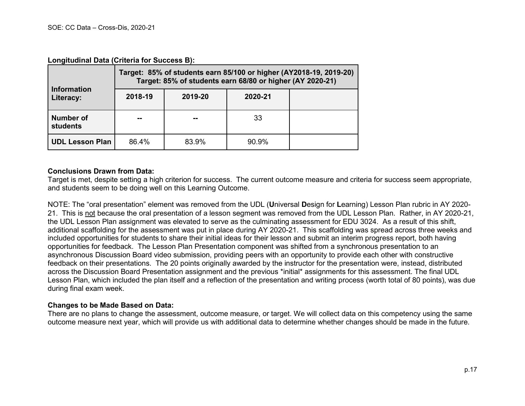**Longitudinal Data (Criteria for Success B):**

|                                 | Target: 85% of students earn 85/100 or higher (AY2018-19, 2019-20)<br>Target: 85% of students earn 68/80 or higher (AY 2020-21) |         |          |  |  |  |
|---------------------------------|---------------------------------------------------------------------------------------------------------------------------------|---------|----------|--|--|--|
| <b>Information</b><br>Literacy: | 2018-19                                                                                                                         | 2019-20 | 2020-21  |  |  |  |
| <b>Number of</b><br>students    |                                                                                                                                 |         | 33       |  |  |  |
| <b>UDL Lesson Plan</b>          | 86.4%                                                                                                                           | 83.9%   | $90.9\%$ |  |  |  |

#### **Conclusions Drawn from Data:**

Target is met, despite setting a high criterion for success. The current outcome measure and criteria for success seem appropriate, and students seem to be doing well on this Learning Outcome.

NOTE: The "oral presentation" element was removed from the UDL (**U**niversal **D**esign for **L**earning) Lesson Plan rubric in AY 2020- 21. This is not because the oral presentation of a lesson segment was removed from the UDL Lesson Plan. Rather, in AY 2020-21, the UDL Lesson Plan assignment was elevated to serve as the culminating assessment for EDU 3024. As a result of this shift, additional scaffolding for the assessment was put in place during AY 2020-21. This scaffolding was spread across three weeks and included opportunities for students to share their initial ideas for their lesson and submit an interim progress report, both having opportunities for feedback. The Lesson Plan Presentation component was shifted from a synchronous presentation to an asynchronous Discussion Board video submission, providing peers with an opportunity to provide each other with constructive feedback on their presentations. The 20 points originally awarded by the instructor for the presentation were, instead, distributed across the Discussion Board Presentation assignment and the previous \*initial\* assignments for this assessment. The final UDL Lesson Plan, which included the plan itself and a reflection of the presentation and writing process (worth total of 80 points), was due during final exam week.

#### **Changes to be Made Based on Data:**

There are no plans to change the assessment, outcome measure, or target. We will collect data on this competency using the same outcome measure next year, which will provide us with additional data to determine whether changes should be made in the future.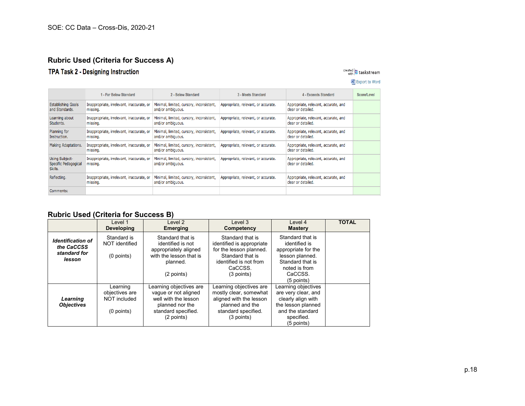## **Rubric Used (Criteria for Success A)**

1 - Far Below Standard

## TPA Task 2 - Designing Instruction

#### created 5 taskstream

#### Export to Word 3 - Meets Standard 4 - Exceeds Standard Score/Level

| <b>Establishing Goals</b><br>and Standards.              | Inappropriate, irrelevant, inaccurate, or<br>missing. | Minimal, limited, cursory, inconsistent,<br>and/or ambiguous. | Appropriate, relevant, or accurate. | Appropriate, relevant, accurate, and<br>clear or detailed. |  |
|----------------------------------------------------------|-------------------------------------------------------|---------------------------------------------------------------|-------------------------------------|------------------------------------------------------------|--|
| Learning about<br>Students.                              | Inappropriate, irrelevant, inaccurate, or<br>missing. | Minimal, limited, cursory, inconsistent,<br>and/or ambiguous. | Appropriate, relevant, or accurate. | Appropriate, relevant, accurate, and<br>clear or detailed. |  |
| Planning for<br>Instruction.                             | Inappropriate, irrelevant, inaccurate, or<br>missing. | Minimal, limited, cursory, inconsistent,<br>and/or ambiguous. | Appropriate, relevant, or accurate. | Appropriate, relevant, accurate, and<br>clear or detailed. |  |
| Making Adaptations.                                      | Inappropriate, irrelevant, inaccurate, or<br>missing. | Minimal, limited, cursory, inconsistent,<br>and/or ambiguous. | Appropriate, relevant, or accurate. | Appropriate, relevant, accurate, and<br>clear or detailed. |  |
| <b>Using Subject-</b><br>Specific Pedagogical<br>Skills. | Inappropriate, irrelevant, inaccurate, or<br>missing. | Minimal, limited, cursory, inconsistent,<br>and/or ambiguous. | Appropriate, relevant, or accurate. | Appropriate, relevant, accurate, and<br>clear or detailed. |  |
| Reflecting.                                              | Inappropriate, irrelevant, inaccurate, or<br>missing. | Minimal, limited, cursory, inconsistent,<br>and/or ambiguous. | Appropriate, relevant, or accurate. | Appropriate, relevant, accurate, and<br>clear or detailed. |  |
| Comments:                                                |                                                       |                                                               |                                     |                                                            |  |

2 - Below Standard

## **Rubric Used (Criteria for Success B)**

|                                                                  | Level 1<br><b>Developing</b>                             | Level 2<br><b>Emerging</b>                                                                                                      | Level 3<br>Competency                                                                                                                             | Level 4<br><b>Mastery</b>                                                                                                                   | <b>TOTAL</b> |
|------------------------------------------------------------------|----------------------------------------------------------|---------------------------------------------------------------------------------------------------------------------------------|---------------------------------------------------------------------------------------------------------------------------------------------------|---------------------------------------------------------------------------------------------------------------------------------------------|--------------|
| <b>Identification of</b><br>the CaCCSS<br>standard for<br>lesson | Standard is<br>NOT identified<br>(0 points)              | Standard that is<br>identified is not<br>appropriately aligned<br>with the lesson that is<br>planned.<br>(2 points)             | Standard that is<br>identified is appropriate<br>for the lesson planned.<br>Standard that is<br>identified is not from<br>CaCCSS.<br>$(3$ points) | Standard that is<br>identified is<br>appropriate for the<br>lesson planned.<br>Standard that is<br>noted is from<br>CaCCSS.<br>$(5$ points) |              |
| Learning<br><b>Objectives</b>                                    | Learning<br>objectives are<br>NOT included<br>(0 points) | Learning objectives are<br>vague or not aligned<br>well with the lesson<br>planned nor the<br>standard specified.<br>(2 points) | Learning objectives are<br>mostly clear, somewhat<br>aligned with the lesson<br>planned and the<br>standard specified.<br>(3 points)              | Learning objectives<br>are very clear, and<br>clearly align with<br>the lesson planned<br>and the standard<br>specified.<br>$(5$ points)    |              |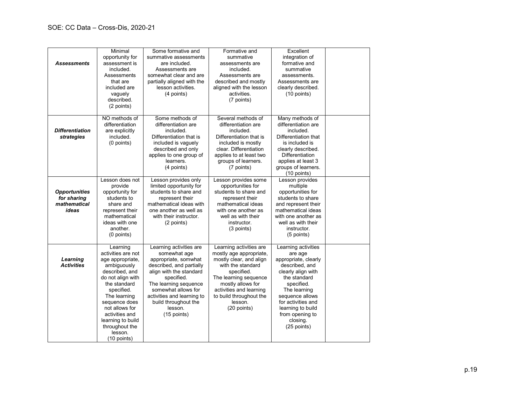| <b>Assessments</b>                                           | Minimal<br>opportunity for<br>assessment is<br>included.<br>Assessments<br>that are<br>included are<br>vaguely<br>described.<br>(2 points)                                                                                                                                             | Some formative and<br>summative assessments<br>are included.<br>Assessments are<br>somewhat clear and are<br>partially aligned with the<br>lesson activities.<br>(4 points)                                                                                          | Formative and<br>summative<br>assessments are<br>included.<br>Assessments are<br>described and mostly<br>aligned with the lesson<br>activities.<br>(7 points)                                                                                  | Excellent<br>integration of<br>formative and<br>summative<br>assessments.<br>Assessments are<br>clearly described.<br>$(10$ points)                                                                                                                      |  |
|--------------------------------------------------------------|----------------------------------------------------------------------------------------------------------------------------------------------------------------------------------------------------------------------------------------------------------------------------------------|----------------------------------------------------------------------------------------------------------------------------------------------------------------------------------------------------------------------------------------------------------------------|------------------------------------------------------------------------------------------------------------------------------------------------------------------------------------------------------------------------------------------------|----------------------------------------------------------------------------------------------------------------------------------------------------------------------------------------------------------------------------------------------------------|--|
| <b>Differentiation</b><br>strategies                         | NO methods of<br>differentiation<br>are explicitly<br>included.<br>(0 points)                                                                                                                                                                                                          | Some methods of<br>differentiation are<br>included.<br>Differentiation that is<br>included is vaguely<br>described and only<br>applies to one group of<br>learners.<br>(4 points)                                                                                    | Several methods of<br>differentiation are<br>included.<br>Differentiation that is<br>included is mostly<br>clear. Differentiation<br>applies to at least two<br>groups of learners.<br>(7 points)                                              | Many methods of<br>differentiation are<br>included.<br>Differentiation that<br>is included is<br>clearly described.<br>Differentiation<br>applies at least 3<br>groups of learners.<br>$(10$ points)                                                     |  |
| <b>Opportunities</b><br>for sharing<br>mathematical<br>ideas | Lesson does not<br>provide<br>opportunity for<br>students to<br>share and<br>represent their<br>mathematical<br>ideas with one<br>another.<br>(0 points)                                                                                                                               | Lesson provides only<br>limited opportunity for<br>students to share and<br>represent their<br>mathematical ideas with<br>one another as well as<br>with their instructor.<br>(2 points)                                                                             | Lesson provides some<br>opportunities for<br>students to share and<br>represent their<br>mathematical ideas<br>with one another as<br>well as with their<br>instructor.<br>(3 points)                                                          | Lesson provides<br>multiple<br>opportunities for<br>students to share<br>and represent their<br>mathematical ideas<br>with one another as<br>well as with their<br>instructor.<br>(5 points)                                                             |  |
| Learning<br><b>Activities</b>                                | Learning<br>activities are not<br>age appropriate,<br>ambiguously<br>described, and<br>do not align with<br>the standard<br>specified.<br>The learning<br>sequence does<br>not allows for<br>activities and<br>learning to build<br>throughout the<br>lesson.<br>$(10 \text{ points})$ | Learning activities are<br>somewhat age<br>appropriate, somwhat<br>described, and partially<br>align with the standard<br>specified.<br>The learning sequence<br>somewhat allows for<br>activities and learning to<br>build throughout the<br>lesson.<br>(15 points) | Learning activities are<br>mostly age appropriate,<br>mostly clear, and align<br>with the standard<br>specified.<br>The learning sequence<br>mostly allows for<br>activities and learning<br>to build throughout the<br>lesson.<br>(20 points) | Learning activities<br>are age<br>appropriate, clearly<br>described, and<br>clearly align with<br>the standard<br>specified.<br>The learning<br>sequence allows<br>for activities and<br>learning to build<br>from opening to<br>closing.<br>(25 points) |  |